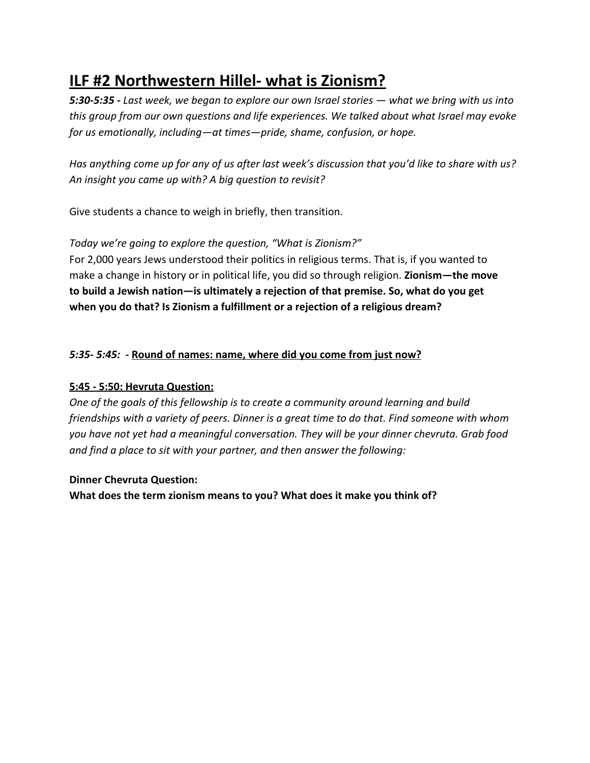# **ILF #2 Northwestern Hillel- what is Zionism?**

*5:30-5:35 - Last week, we began to explore our own Israel stories — what we bring with us into this group from our own questions and life experiences. We talked about what Israel may evoke for us emotionally, including—at times—pride, shame, confusion, or hope.*

*Has anything come up for any of us after last week's discussion that you'd like to share with us? An insight you came up with? A big question to revisit?*

Give students a chance to weigh in briefly, then transition.

# *Today we're going to explore the question, "What is Zionism?"*

For 2,000 years Jews understood their politics in religious terms. That is, if you wanted to make a change in history or in political life, you did so through religion. **Zionism—the move to build a Jewish nation—is ultimately a rejection of that premise. So, what do you get when you do that? Is Zionism a fulfillment or a rejection of a religious dream?**

# *5:35- 5:45: -* **Round of names: name, where did you come from just now?**

# **5:45 - 5:50: Hevruta Question:**

*One of the goals of this fellowship is to create a community around learning and build friendships with a variety of peers. Dinner is a great time to do that. Find someone with whom you have not yet had a meaningful conversation. They will be your dinner chevruta. Grab food and find a place to sit with your partner, and then answer the following:*

# **Dinner Chevruta Question:**

**What does the term zionism means to you? What does it make you think of?**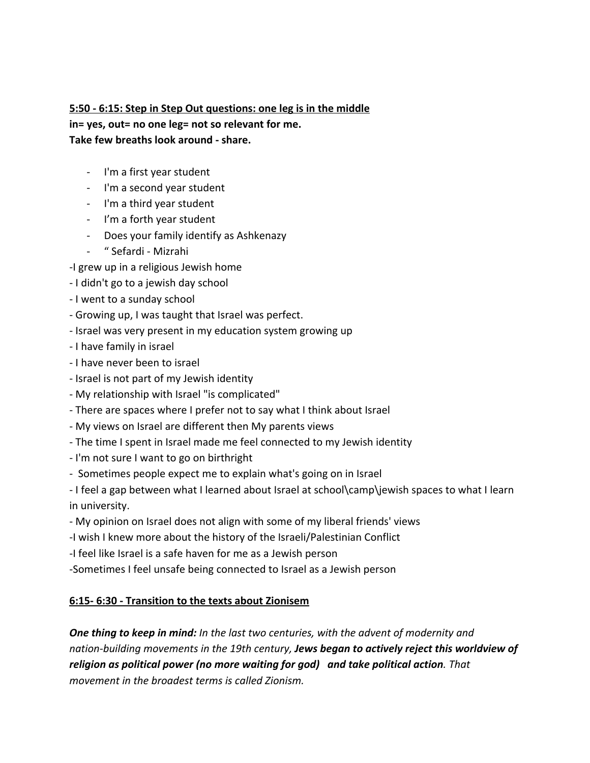# **5:50 - 6:15: Step in Step Out questions: one leg is in the middle in= yes, out= no one leg= not so relevant for me. Take few breaths look around - share.**

- I'm a first year student
- I'm a second year student
- I'm a third year student
- I'm a forth year student
- Does your family identify as Ashkenazy
- " Sefardi Mizrahi
- -I grew up in a religious Jewish home
- I didn't go to a jewish day school
- I went to a sunday school
- Growing up, I was taught that Israel was perfect.
- Israel was very present in my education system growing up
- I have family in israel
- I have never been to israel
- Israel is not part of my Jewish identity
- My relationship with Israel "is complicated"
- There are spaces where I prefer not to say what I think about Israel
- My views on Israel are different then My parents views
- The time I spent in Israel made me feel connected to my Jewish identity
- I'm not sure I want to go on birthright
- Sometimes people expect me to explain what's going on in Israel
- I feel a gap between what I learned about Israel at school\camp\jewish spaces to what I learn in university.
- My opinion on Israel does not align with some of my liberal friends' views
- -I wish I knew more about the history of the Israeli/Palestinian Conflict
- -I feel like Israel is a safe haven for me as a Jewish person

-Sometimes I feel unsafe being connected to Israel as a Jewish person

# **6:15- 6:30 - Transition to the texts about Zionisem**

*One thing to keep in mind: In the last two centuries, with the advent of modernity and nation-building movements in the 19th century, Jews began to actively reject this worldview of religion as political power (no more waiting for god) and take political action. That movement in the broadest terms is called Zionism.*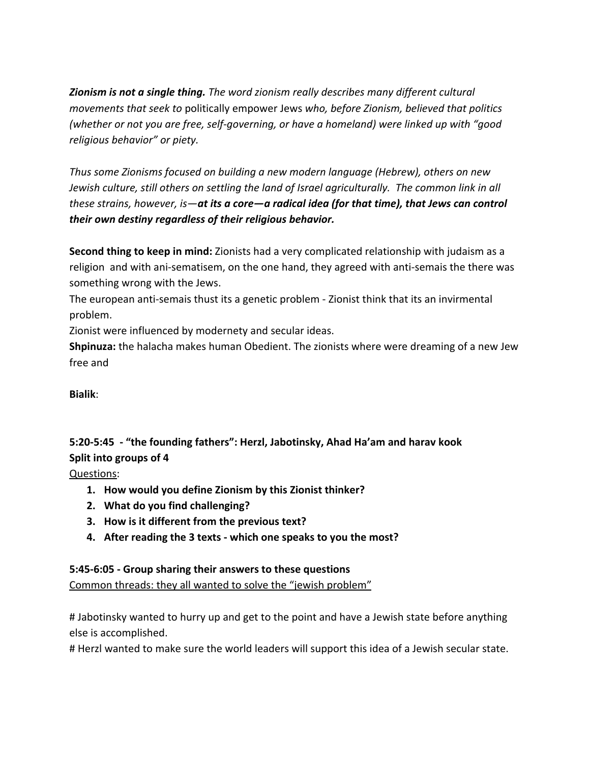*Zionism is not a single thing. The word zionism really describes many different cultural movements that seek to* politically empower Jews *who, before Zionism, believed that politics (whether or not you are free, self-governing, or have a homeland) were linked up with "good religious behavior" or piety.*

*Thus some Zionisms focused on building a new modern language (Hebrew), others on new Jewish culture, still others on settling the land of Israel agriculturally. The common link in all these strains, however, is—at its a core—a radical idea (for that time), that Jews can control their own destiny regardless of their religious behavior.*

**Second thing to keep in mind:** Zionists had a very complicated relationship with judaism as a religion and with ani-sematisem, on the one hand, they agreed with anti-semais the there was something wrong with the Jews.

The european anti-semais thust its a genetic problem - Zionist think that its an invirmental problem.

Zionist were influenced by modernety and secular ideas.

**Shpinuza:** the halacha makes human Obedient. The zionists where were dreaming of a new Jew free and

**Bialik**:

**5:20-5:45 - "the founding fathers": Herzl, Jabotinsky, Ahad Ha'am and harav kook Split into groups of 4**

Questions:

- **1. How would you define Zionism by this Zionist thinker?**
- **2. What do you find challenging?**
- **3. How is it different from the previous text?**
- **4. After reading the 3 texts which one speaks to you the most?**

# **5:45-6:05 - Group sharing their answers to these questions**

Common threads: they all wanted to solve the "jewish problem"

# Jabotinsky wanted to hurry up and get to the point and have a Jewish state before anything else is accomplished.

# Herzl wanted to make sure the world leaders will support this idea of a Jewish secular state.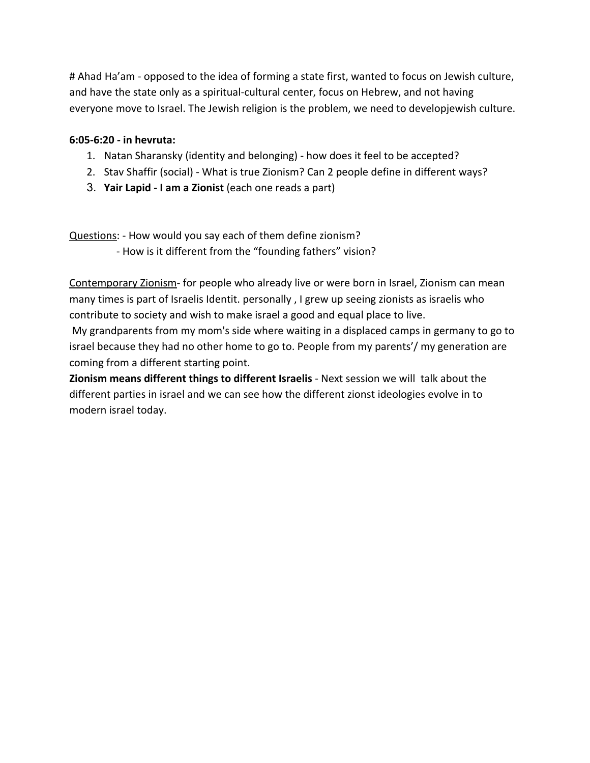# Ahad Ha'am - opposed to the idea of forming a state first, wanted to focus on Jewish culture, and have the state only as a spiritual-cultural center, focus on Hebrew, and not having everyone move to Israel. The Jewish religion is the problem, we need to developjewish culture.

# **6:05-6:20 - in hevruta:**

- 1. Natan Sharansky (identity and belonging) how does it feel to be accepted?
- 2. Stav Shaffir (social) What is true Zionism? Can 2 people define in different ways?
- 3. **Yair Lapid I am a Zionist** (each one reads a part)

Questions: - How would you say each of them define zionism?

- How is it different from the "founding fathers" vision?

Contemporary Zionism- for people who already live or were born in Israel, Zionism can mean many times is part of Israelis Identit. personally , I grew up seeing zionists as israelis who contribute to society and wish to make israel a good and equal place to live.

 My grandparents from my mom's side where waiting in a displaced camps in germany to go to israel because they had no other home to go to. People from my parents'/ my generation are coming from a different starting point.

**Zionism means different things to different Israelis** - Next session we will talk about the different parties in israel and we can see how the different zionst ideologies evolve in to modern israel today.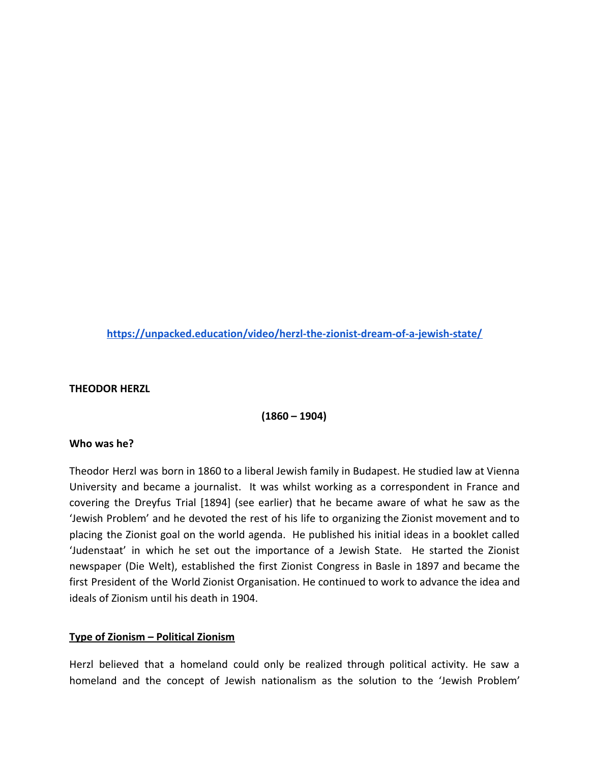**<https://unpacked.education/video/herzl-the-zionist-dream-of-a-jewish-state/>**

#### **THEODOR HERZL**

#### **(1860 – 1904)**

#### **Who was he?**

Theodor Herzl was born in 1860 to a liberal Jewish family in Budapest. He studied law at Vienna University and became a journalist. It was whilst working as a correspondent in France and covering the Dreyfus Trial [1894] (see earlier) that he became aware of what he saw as the 'Jewish Problem' and he devoted the rest of his life to organizing the Zionist movement and to placing the Zionist goal on the world agenda. He published his initial ideas in a booklet called 'Judenstaat' in which he set out the importance of a Jewish State. He started the Zionist newspaper (Die Welt), established the first Zionist Congress in Basle in 1897 and became the first President of the World Zionist Organisation. He continued to work to advance the idea and ideals of Zionism until his death in 1904.

#### **Type of Zionism – Political Zionism**

Herzl believed that a homeland could only be realized through political activity. He saw a homeland and the concept of Jewish nationalism as the solution to the 'Jewish Problem'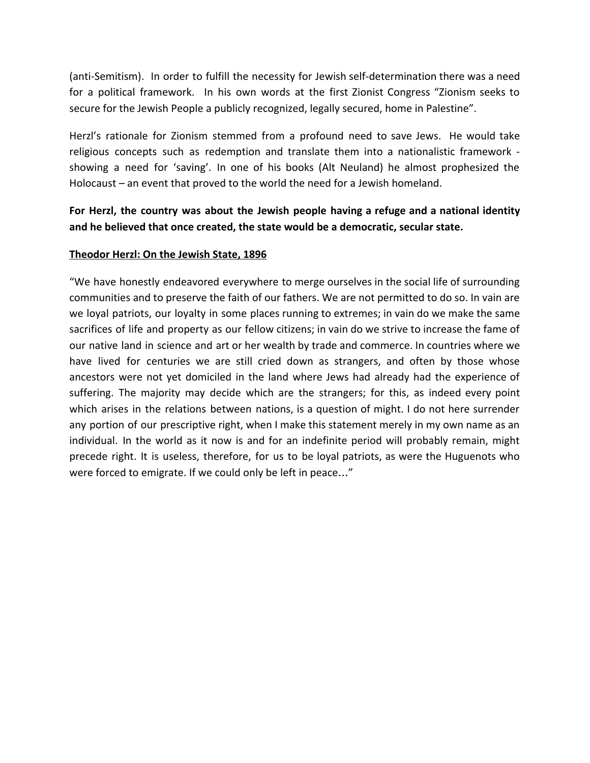(anti-Semitism). In order to fulfill the necessity for Jewish self-determination there was a need for a political framework. In his own words at the first Zionist Congress "Zionism seeks to secure for the Jewish People a publicly recognized, legally secured, home in Palestine".

Herzl's rationale for Zionism stemmed from a profound need to save Jews. He would take religious concepts such as redemption and translate them into a nationalistic framework showing a need for 'saving'. In one of his books (Alt Neuland) he almost prophesized the Holocaust – an event that proved to the world the need for a Jewish homeland.

**For Herzl, the country was about the Jewish people having a refuge and a national identity and he believed that once created, the state would be a democratic, secular state.**

#### **Theodor Herzl: On the Jewish State, 1896**

"We have honestly endeavored everywhere to merge ourselves in the social life of surrounding communities and to preserve the faith of our fathers. We are not permitted to do so. In vain are we loyal patriots, our loyalty in some places running to extremes; in vain do we make the same sacrifices of life and property as our fellow citizens; in vain do we strive to increase the fame of our native land in science and art or her wealth by trade and commerce. In countries where we have lived for centuries we are still cried down as strangers, and often by those whose ancestors were not yet domiciled in the land where Jews had already had the experience of suffering. The majority may decide which are the strangers; for this, as indeed every point which arises in the relations between nations, is a question of might. I do not here surrender any portion of our prescriptive right, when I make this statement merely in my own name as an individual. In the world as it now is and for an indefinite period will probably remain, might precede right. It is useless, therefore, for us to be loyal patriots, as were the Huguenots who were forced to emigrate. If we could only be left in peace…"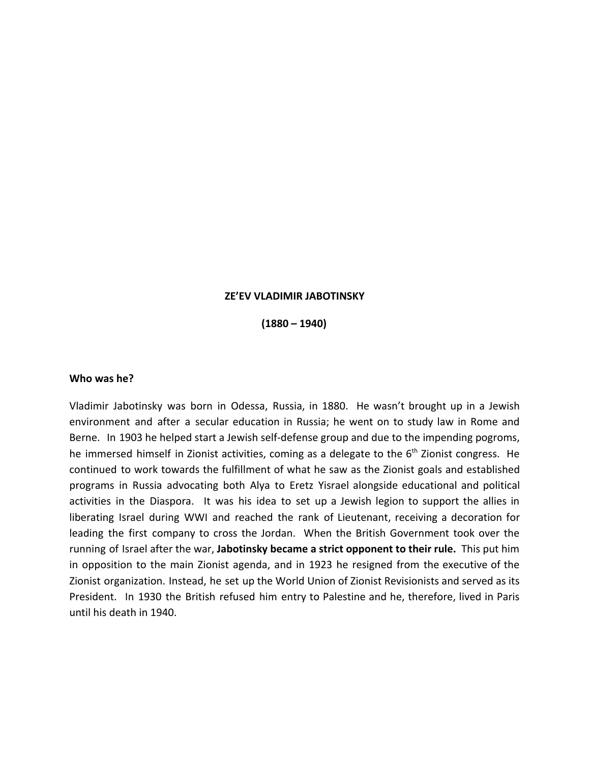#### **ZE'EV VLADIMIR JABOTINSKY**

**(1880 – 1940)**

#### **Who was he?**

Vladimir Jabotinsky was born in Odessa, Russia, in 1880. He wasn't brought up in a Jewish environment and after a secular education in Russia; he went on to study law in Rome and Berne. In 1903 he helped start a Jewish self-defense group and due to the impending pogroms, he immersed himself in Zionist activities, coming as a delegate to the 6<sup>th</sup> Zionist congress. He continued to work towards the fulfillment of what he saw as the Zionist goals and established programs in Russia advocating both Alya to Eretz Yisrael alongside educational and political activities in the Diaspora. It was his idea to set up a Jewish legion to support the allies in liberating Israel during WWI and reached the rank of Lieutenant, receiving a decoration for leading the first company to cross the Jordan. When the British Government took over the running of Israel after the war, **Jabotinsky became a strict opponent to their rule.** This put him in opposition to the main Zionist agenda, and in 1923 he resigned from the executive of the Zionist organization. Instead, he set up the World Union of Zionist Revisionists and served as its President. In 1930 the British refused him entry to Palestine and he, therefore, lived in Paris until his death in 1940.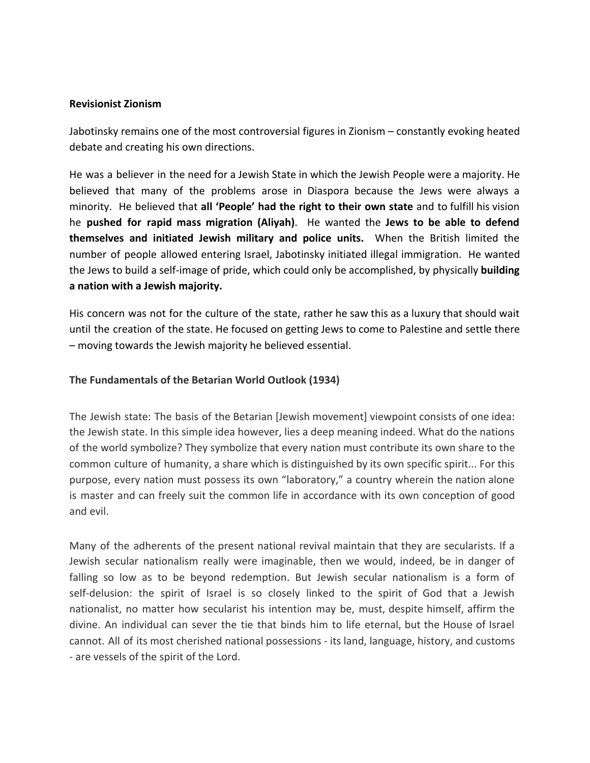#### **Revisionist Zionism**

Jabotinsky remains one of the most controversial figures in Zionism – constantly evoking heated debate and creating his own directions.

He was a believer in the need for a Jewish State in which the Jewish People were a majority. He believed that many of the problems arose in Diaspora because the Jews were always a minority. He believed that **all 'People' had the right to their own state** and to fulfill his vision he **pushed for rapid mass migration (Aliyah)**. He wanted the **Jews to be able to defend themselves and initiated Jewish military and police units.** When the British limited the number of people allowed entering Israel, Jabotinsky initiated illegal immigration. He wanted the Jews to build a self-image of pride, which could only be accomplished, by physically **building a nation with a Jewish majority.**

His concern was not for the culture of the state, rather he saw this as a luxury that should wait until the creation of the state. He focused on getting Jews to come to Palestine and settle there – moving towards the Jewish majority he believed essential.

#### **The Fundamentals of the Betarian World Outlook (1934)**

The Jewish state: The basis of the Betarian [Jewish movement] viewpoint consists of one idea: the Jewish state. In this simple idea however, lies a deep meaning indeed. What do the nations of the world symbolize? They symbolize that every nation must contribute its own share to the common culture of humanity, a share which is distinguished by its own specific spirit... For this purpose, every nation must possess its own "laboratory," a country wherein the nation alone is master and can freely suit the common life in accordance with its own conception of good and evil.

Many of the adherents of the present national revival maintain that they are secularists. If a Jewish secular nationalism really were imaginable, then we would, indeed, be in danger of falling so low as to be beyond redemption. But Jewish secular nationalism is a form of self-delusion: the spirit of Israel is so closely linked to the spirit of God that a Jewish nationalist, no matter how secularist his intention may be, must, despite himself, affirm the divine. An individual can sever the tie that binds him to life eternal, but the House of Israel cannot. All of its most cherished national possessions - its land, language, history, and customs - are vessels of the spirit of the Lord.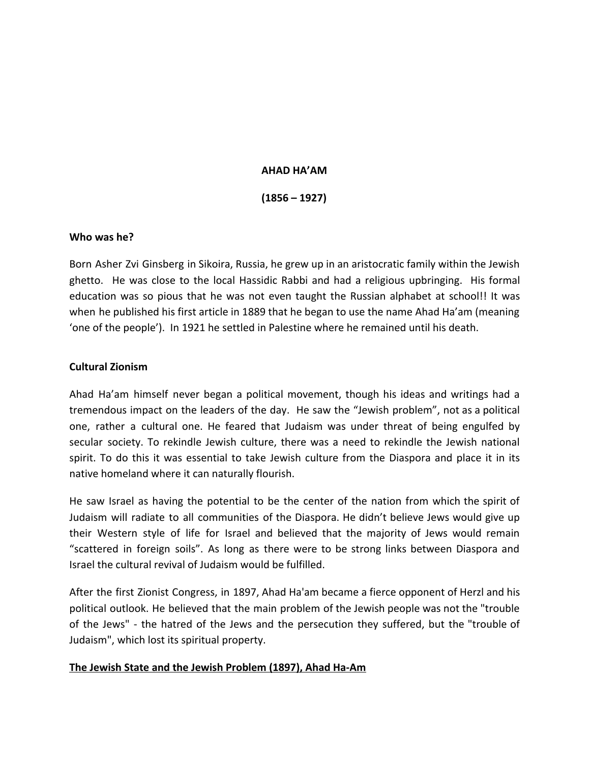#### **AHAD HA'AM**

**(1856 – 1927)**

#### **Who was he?**

Born Asher Zvi Ginsberg in Sikoira, Russia, he grew up in an aristocratic family within the Jewish ghetto. He was close to the local Hassidic Rabbi and had a religious upbringing. His formal education was so pious that he was not even taught the Russian alphabet at school!! It was when he published his first article in 1889 that he began to use the name Ahad Ha'am (meaning 'one of the people'). In 1921 he settled in Palestine where he remained until his death.

#### **Cultural Zionism**

Ahad Ha'am himself never began a political movement, though his ideas and writings had a tremendous impact on the leaders of the day. He saw the "Jewish problem", not as a political one, rather a cultural one. He feared that Judaism was under threat of being engulfed by secular society. To rekindle Jewish culture, there was a need to rekindle the Jewish national spirit. To do this it was essential to take Jewish culture from the Diaspora and place it in its native homeland where it can naturally flourish.

He saw Israel as having the potential to be the center of the nation from which the spirit of Judaism will radiate to all communities of the Diaspora. He didn't believe Jews would give up their Western style of life for Israel and believed that the majority of Jews would remain "scattered in foreign soils". As long as there were to be strong links between Diaspora and Israel the cultural revival of Judaism would be fulfilled.

After the first Zionist Congress, in 1897, Ahad Ha'am became a fierce opponent of Herzl and his political outlook. He believed that the main problem of the Jewish people was not the "trouble of the Jews" - the hatred of the Jews and the persecution they suffered, but the "trouble of Judaism", which lost its spiritual property.

#### **The Jewish State and the Jewish Problem (1897), Ahad Ha-Am**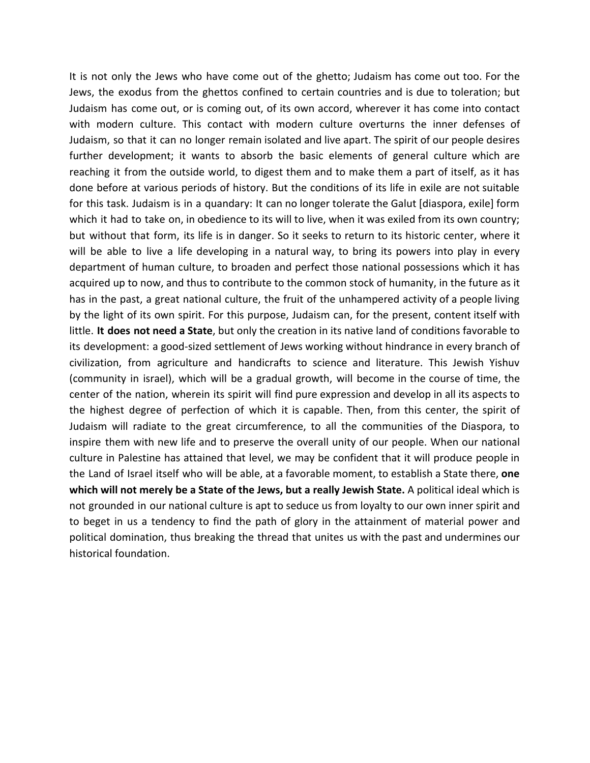It is not only the Jews who have come out of the ghetto; Judaism has come out too. For the Jews, the exodus from the ghettos confined to certain countries and is due to toleration; but Judaism has come out, or is coming out, of its own accord, wherever it has come into contact with modern culture. This contact with modern culture overturns the inner defenses of Judaism, so that it can no longer remain isolated and live apart. The spirit of our people desires further development; it wants to absorb the basic elements of general culture which are reaching it from the outside world, to digest them and to make them a part of itself, as it has done before at various periods of history. But the conditions of its life in exile are not suitable for this task. Judaism is in a quandary: It can no longer tolerate the Galut [diaspora, exile] form which it had to take on, in obedience to its will to live, when it was exiled from its own country; but without that form, its life is in danger. So it seeks to return to its historic center, where it will be able to live a life developing in a natural way, to bring its powers into play in every department of human culture, to broaden and perfect those national possessions which it has acquired up to now, and thus to contribute to the common stock of humanity, in the future as it has in the past, a great national culture, the fruit of the unhampered activity of a people living by the light of its own spirit. For this purpose, Judaism can, for the present, content itself with little. **It does not need a State**, but only the creation in its native land of conditions favorable to its development: a good-sized settlement of Jews working without hindrance in every branch of civilization, from agriculture and handicrafts to science and literature. This Jewish Yishuv (community in israel), which will be a gradual growth, will become in the course of time, the center of the nation, wherein its spirit will find pure expression and develop in all its aspects to the highest degree of perfection of which it is capable. Then, from this center, the spirit of Judaism will radiate to the great circumference, to all the communities of the Diaspora, to inspire them with new life and to preserve the overall unity of our people. When our national culture in Palestine has attained that level, we may be confident that it will produce people in the Land of Israel itself who will be able, at a favorable moment, to establish a State there, **one which will not merely be a State of the Jews, but a really Jewish State.** A political ideal which is not grounded in our national culture is apt to seduce us from loyalty to our own inner spirit and to beget in us a tendency to find the path of glory in the attainment of material power and political domination, thus breaking the thread that unites us with the past and undermines our historical foundation.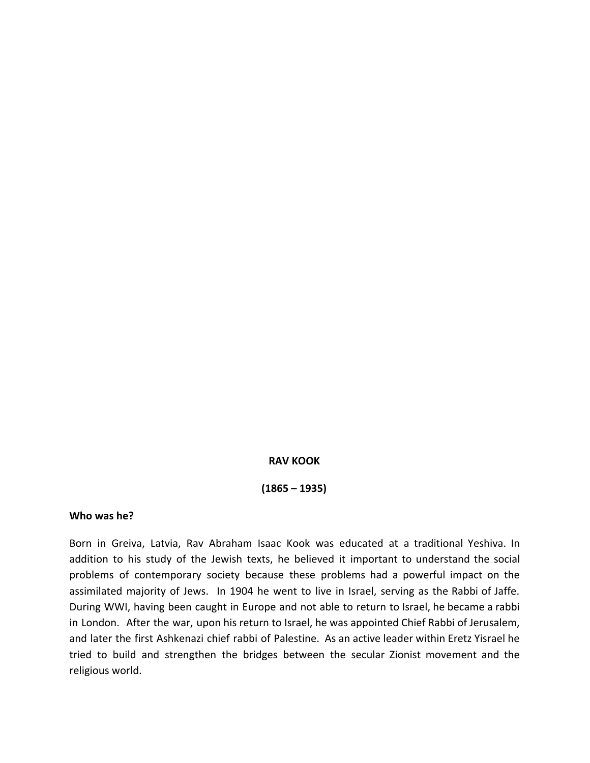#### **RAV KOOK**

#### **(1865 – 1935)**

#### **Who was he?**

Born in Greiva, Latvia, Rav Abraham Isaac Kook was educated at a traditional Yeshiva. In addition to his study of the Jewish texts, he believed it important to understand the social problems of contemporary society because these problems had a powerful impact on the assimilated majority of Jews. In 1904 he went to live in Israel, serving as the Rabbi of Jaffe. During WWI, having been caught in Europe and not able to return to Israel, he became a rabbi in London. After the war, upon his return to Israel, he was appointed Chief Rabbi of Jerusalem, and later the first Ashkenazi chief rabbi of Palestine. As an active leader within Eretz Yisrael he tried to build and strengthen the bridges between the secular Zionist movement and the religious world.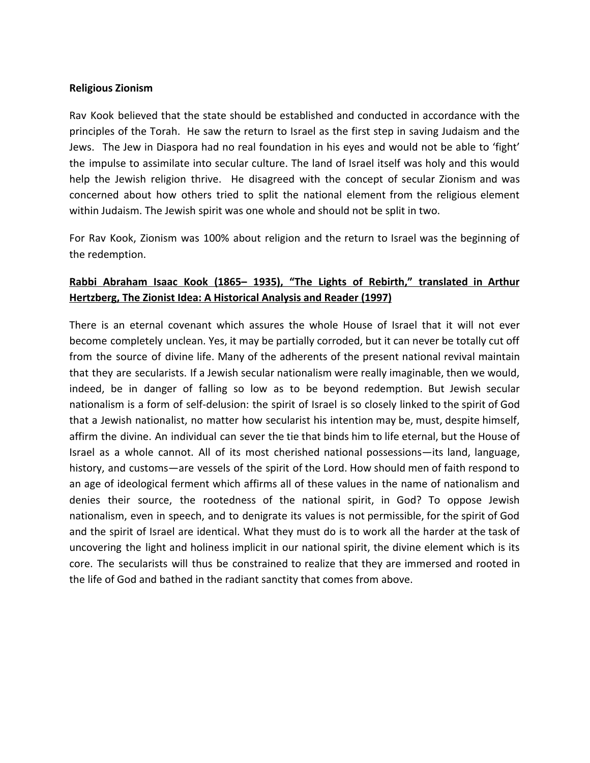#### **Religious Zionism**

Rav Kook believed that the state should be established and conducted in accordance with the principles of the Torah. He saw the return to Israel as the first step in saving Judaism and the Jews. The Jew in Diaspora had no real foundation in his eyes and would not be able to 'fight' the impulse to assimilate into secular culture. The land of Israel itself was holy and this would help the Jewish religion thrive. He disagreed with the concept of secular Zionism and was concerned about how others tried to split the national element from the religious element within Judaism. The Jewish spirit was one whole and should not be split in two.

For Rav Kook, Zionism was 100% about religion and the return to Israel was the beginning of the redemption.

# **Rabbi Abraham Isaac Kook (1865– 1935), "The Lights of Rebirth," translated in Arthur Hertzberg, The Zionist Idea: A Historical Analysis and Reader (1997)**

There is an eternal covenant which assures the whole House of Israel that it will not ever become completely unclean. Yes, it may be partially corroded, but it can never be totally cut off from the source of divine life. Many of the adherents of the present national revival maintain that they are secularists. If a Jewish secular nationalism were really imaginable, then we would, indeed, be in danger of falling so low as to be beyond redemption. But Jewish secular nationalism is a form of self-delusion: the spirit of Israel is so closely linked to the spirit of God that a Jewish nationalist, no matter how secularist his intention may be, must, despite himself, affirm the divine. An individual can sever the tie that binds him to life eternal, but the House of Israel as a whole cannot. All of its most cherished national possessions—its land, language, history, and customs—are vessels of the spirit of the Lord. How should men of faith respond to an age of ideological ferment which affirms all of these values in the name of nationalism and denies their source, the rootedness of the national spirit, in God? To oppose Jewish nationalism, even in speech, and to denigrate its values is not permissible, for the spirit of God and the spirit of Israel are identical. What they must do is to work all the harder at the task of uncovering the light and holiness implicit in our national spirit, the divine element which is its core. The secularists will thus be constrained to realize that they are immersed and rooted in the life of God and bathed in the radiant sanctity that comes from above.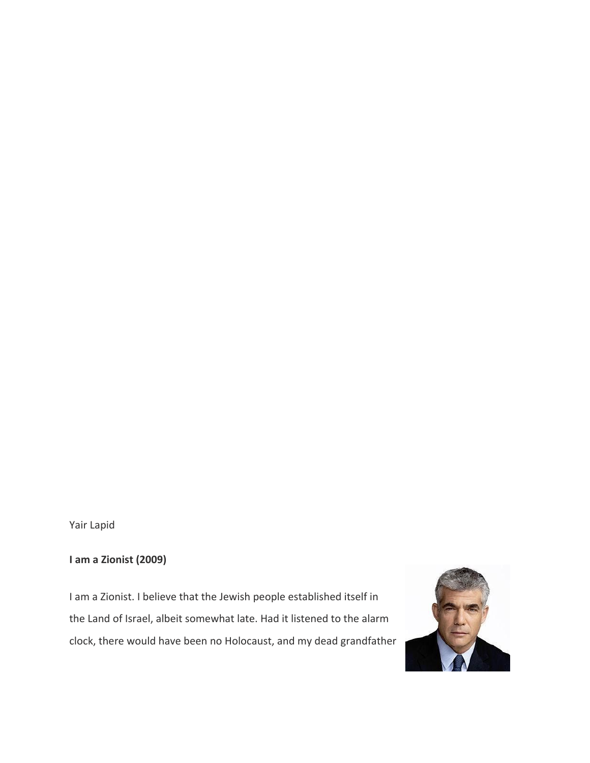Yair Lapid

# **I am a Zionist (2009)**

I am a Zionist. I believe that the Jewish people established itself in the Land of Israel, albeit somewhat late. Had it listened to the alarm clock, there would have been no Holocaust, and my dead grandfather

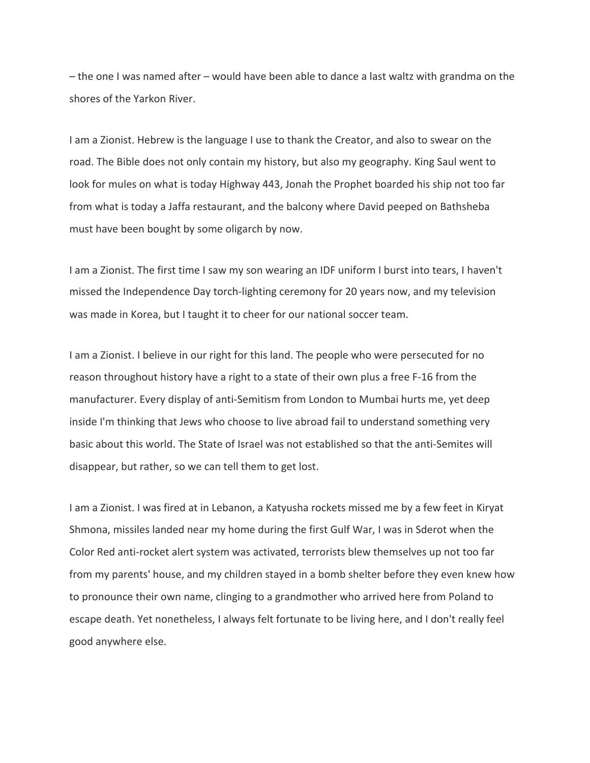– the one I was named after – would have been able to dance a last waltz with grandma on the shores of the Yarkon River.

I am a Zionist. Hebrew is the language I use to thank the Creator, and also to swear on the road. The Bible does not only contain my history, but also my geography. King Saul went to look for mules on what is today Highway 443, Jonah the Prophet boarded his ship not too far from what is today a Jaffa restaurant, and the balcony where David peeped on Bathsheba must have been bought by some oligarch by now.

I am a Zionist. The first time I saw my son wearing an IDF uniform I burst into tears, I haven't missed the Independence Day torch-lighting ceremony for 20 years now, and my television was made in Korea, but I taught it to cheer for our national soccer team.

I am a Zionist. I believe in our right for this land. The people who were persecuted for no reason throughout history have a right to a state of their own plus a free F-16 from the manufacturer. Every display of anti-Semitism from London to Mumbai hurts me, yet deep inside I'm thinking that Jews who choose to live abroad fail to understand something very basic about this world. The State of Israel was not established so that the anti-Semites will disappear, but rather, so we can tell them to get lost.

I am a Zionist. I was fired at in Lebanon, a Katyusha rockets missed me by a few feet in Kiryat Shmona, missiles landed near my home during the first Gulf War, I was in Sderot when the Color Red anti-rocket alert system was activated, terrorists blew themselves up not too far from my parents' house, and my children stayed in a bomb shelter before they even knew how to pronounce their own name, clinging to a grandmother who arrived here from Poland to escape death. Yet nonetheless, I always felt fortunate to be living here, and I don't really feel good anywhere else.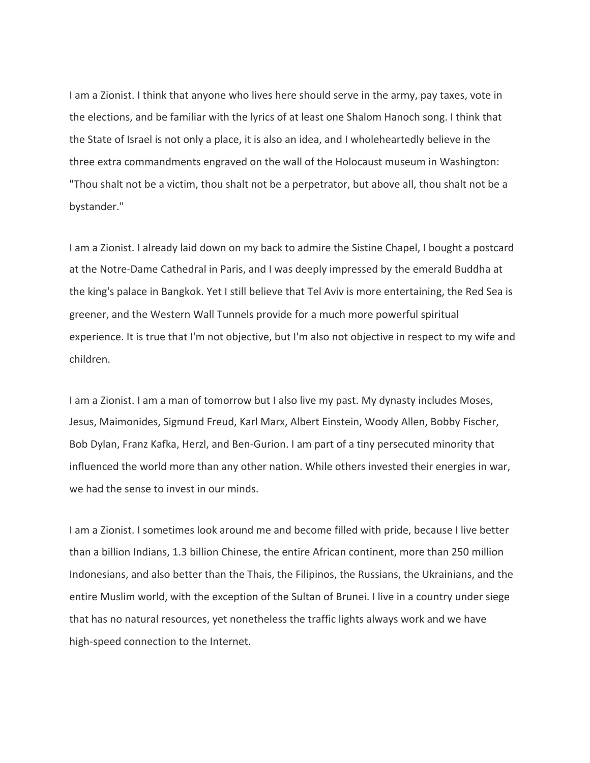I am a Zionist. I think that anyone who lives here should serve in the army, pay taxes, vote in the elections, and be familiar with the lyrics of at least one Shalom Hanoch song. I think that the State of Israel is not only a place, it is also an idea, and I wholeheartedly believe in the three extra commandments engraved on the wall of the Holocaust museum in Washington: "Thou shalt not be a victim, thou shalt not be a perpetrator, but above all, thou shalt not be a bystander."

I am a Zionist. I already laid down on my back to admire the Sistine Chapel, I bought a postcard at the Notre-Dame Cathedral in Paris, and I was deeply impressed by the emerald Buddha at the king's palace in Bangkok. Yet I still believe that Tel Aviv is more entertaining, the Red Sea is greener, and the Western Wall Tunnels provide for a much more powerful spiritual experience. It is true that I'm not objective, but I'm also not objective in respect to my wife and children.

I am a Zionist. I am a man of tomorrow but I also live my past. My dynasty includes Moses, Jesus, Maimonides, Sigmund Freud, Karl Marx, Albert Einstein, Woody Allen, Bobby Fischer, Bob Dylan, Franz Kafka, Herzl, and Ben-Gurion. I am part of a tiny persecuted minority that influenced the world more than any other nation. While others invested their energies in war, we had the sense to invest in our minds.

I am a Zionist. I sometimes look around me and become filled with pride, because I live better than a billion Indians, 1.3 billion Chinese, the entire African continent, more than 250 million Indonesians, and also better than the Thais, the Filipinos, the Russians, the Ukrainians, and the entire Muslim world, with the exception of the Sultan of Brunei. I live in a country under siege that has no natural resources, yet nonetheless the traffic lights always work and we have high-speed connection to the Internet.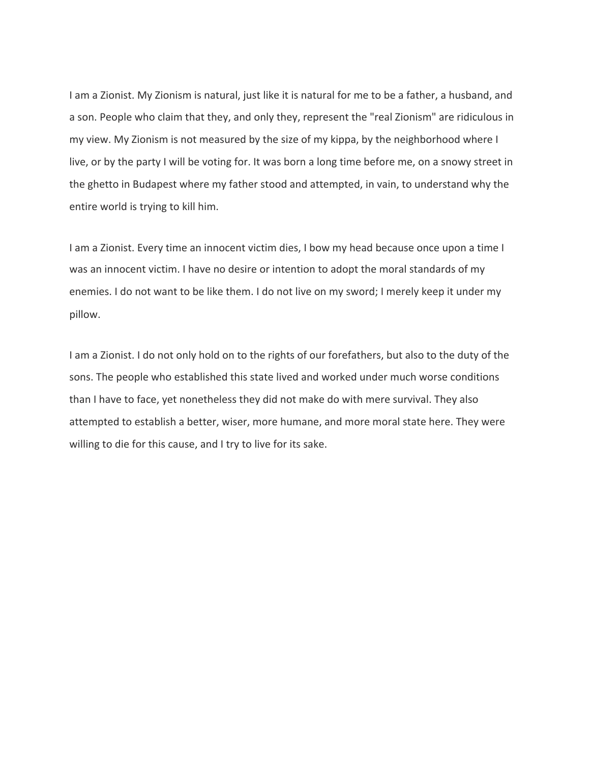I am a Zionist. My Zionism is natural, just like it is natural for me to be a father, a husband, and a son. People who claim that they, and only they, represent the "real Zionism" are ridiculous in my view. My Zionism is not measured by the size of my kippa, by the neighborhood where I live, or by the party I will be voting for. It was born a long time before me, on a snowy street in the ghetto in Budapest where my father stood and attempted, in vain, to understand why the entire world is trying to kill him.

I am a Zionist. Every time an innocent victim dies, I bow my head because once upon a time I was an innocent victim. I have no desire or intention to adopt the moral standards of my enemies. I do not want to be like them. I do not live on my sword; I merely keep it under my pillow.

I am a Zionist. I do not only hold on to the rights of our forefathers, but also to the duty of the sons. The people who established this state lived and worked under much worse conditions than I have to face, yet nonetheless they did not make do with mere survival. They also attempted to establish a better, wiser, more humane, and more moral state here. They were willing to die for this cause, and I try to live for its sake.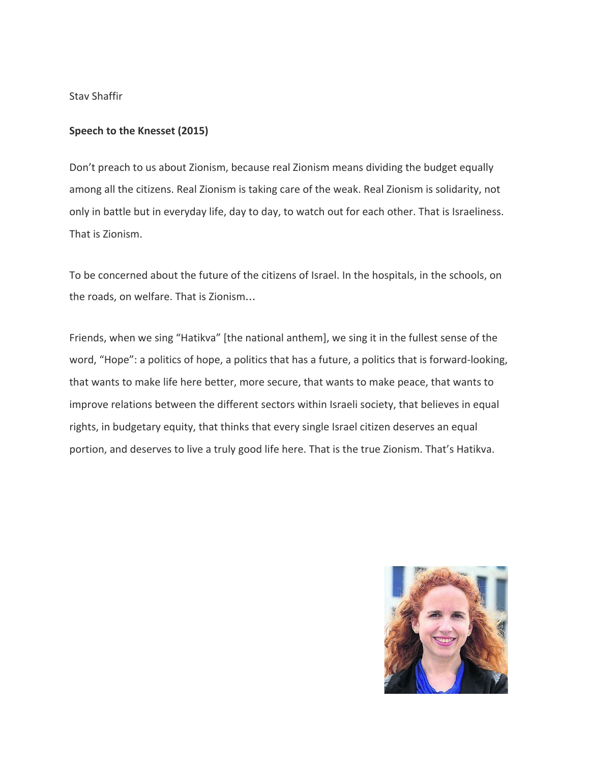Stav Shaffir

#### **Speech to the Knesset (2015)**

Don't preach to us about Zionism, because real Zionism means dividing the budget equally among all the citizens. Real Zionism is taking care of the weak. Real Zionism is solidarity, not only in battle but in everyday life, day to day, to watch out for each other. That is Israeliness. That is Zionism.

To be concerned about the future of the citizens of Israel. In the hospitals, in the schools, on the roads, on welfare. That is Zionism…

Friends, when we sing "Hatikva" [the national anthem], we sing it in the fullest sense of the word, "Hope": a politics of hope, a politics that has a future, a politics that is forward-looking, that wants to make life here better, more secure, that wants to make peace, that wants to improve relations between the different sectors within Israeli society, that believes in equal rights, in budgetary equity, that thinks that every single Israel citizen deserves an equal portion, and deserves to live a truly good life here. That is the true Zionism. That's Hatikva.

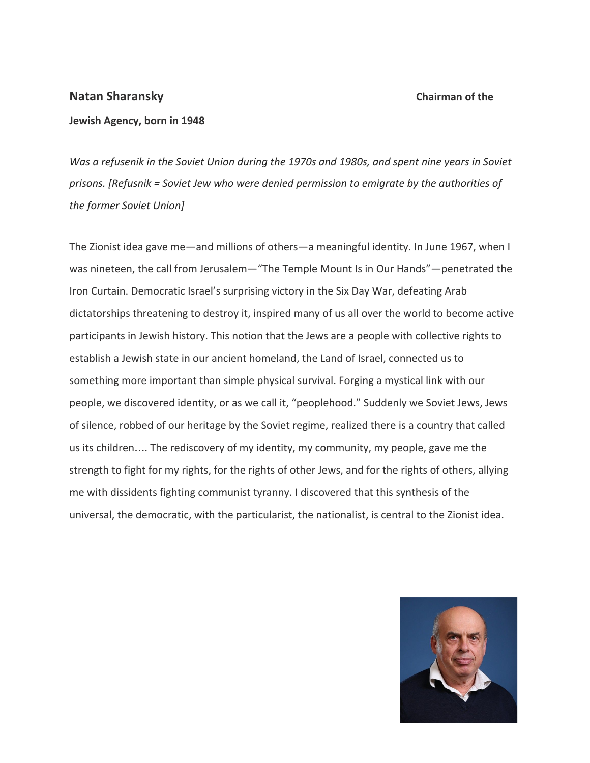#### **Natan Sharansky Chairman of the**

#### **Jewish Agency, born in 1948**

*Was a refusenik in the Soviet Union during the 1970s and 1980s, and spent nine years in Soviet prisons. [Refusnik = Soviet Jew who were denied permission to emigrate by the authorities of the former Soviet Union]*

The Zionist idea gave me—and millions of others—a meaningful identity. In June 1967, when I was nineteen, the call from Jerusalem—"The Temple Mount Is in Our Hands"—penetrated the Iron Curtain. Democratic Israel's surprising victory in the Six Day War, defeating Arab dictatorships threatening to destroy it, inspired many of us all over the world to become active participants in Jewish history. This notion that the Jews are a people with collective rights to establish a Jewish state in our ancient homeland, the Land of Israel, connected us to something more important than simple physical survival. Forging a mystical link with our people, we discovered identity, or as we call it, "peoplehood." Suddenly we Soviet Jews, Jews of silence, robbed of our heritage by the Soviet regime, realized there is a country that called us its children…. The rediscovery of my identity, my community, my people, gave me the strength to fight for my rights, for the rights of other Jews, and for the rights of others, allying me with dissidents fighting communist tyranny. I discovered that this synthesis of the universal, the democratic, with the particularist, the nationalist, is central to the Zionist idea.